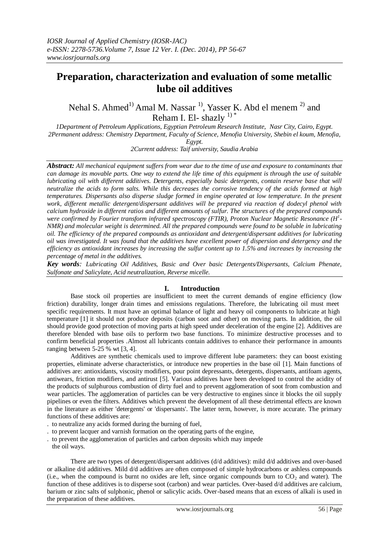# **Preparation, characterization and evaluation of some metallic lube oil additives**

Nehal S. Ahmed<sup>1)</sup> Amal M. Nassar<sup>1</sup>, Yasser K. Abd el menem<sup>2)</sup> and Reham I. El- shazly  $1$ <sup>+</sup>

*1Department of Petroleum Applications, Egyptian Petroleum Research Institute, Nasr City, Cairo, Egypt. 2Permanent address: Chemistry Department, Faculty of Science, Menofia University, Shebin el koum, Menofia, Egypt.*

*2Current address: Taif university, Saudia Arabia*

*Abstract: All mechanical equipment suffers from wear due to the time of use and exposure to contaminants that can damage its movable parts. One way to extend the life time of this equipment is through the use of suitable lubricating oil with different additives. Detergents, especially basic detergents, contain reserve base that will neutralize the acids to form salts. While this decreases the corrosive tendency of the acids formed at high temperatures*. *Dispersants also disperse sludge formed in engine operated at low temperature. In the present work, different metallic detergent/dispersant additives will be prepared via reaction of dodecyl phenol with calcium hydroxide in different ratios and different amounts of sulfur. The structures of the prepared compounds were confirmed by Fourier transform infrared spectroscopy (FTIR), Proton Nuclear Magnetic Resonance (H<sup>1</sup> - NMR) and molecular weight is determined. All the prepared compounds were found to be soluble in lubricating oil. The efficiency of the prepared compounds as antioxidant and detergent/dispersant additives for lubricating oil was investigated. It was found that the additives have excellent power of dispersion and detergency and the efficiency as antioxidant increases by increasing the sulfur content up to 1.5% and increases by increasing the percentage of metal in the additives.*

*Key words: Lubricating Oil Additives, Basic and Over basic Detergents/Dispersants, Calcium Phenate, Sulfonate and Salicylate, Acid neutralization, Reverse micelle.*

# **I. Introduction**

Base stock oil properties are insufficient to meet the current demands of engine efficiency (low friction) durability, longer drain times and emissions regulations. Therefore, the lubricating oil must meet specific requirements. It must have an optimal balance of light and heavy oil components to lubricate at high temperature [1] it should not produce deposits (carbon soot and other) on moving parts. In addition, the oil should provide good protection of moving parts at high speed under deceleration of the engine [2]. Additives are therefore blended with base oils to perform two base functions. To minimize destructive processes and to confirm beneficial properties .Almost all lubricants contain additives to enhance their performance in amounts ranging between 5-25 % wt [3, 4].

Additives are synthetic chemicals used to improve different lube parameters: they can boost existing properties, eliminate adverse characteristics, or introduce new properties in the base oil [1]. Main functions of additives are: antioxidants, viscosity modifiers, pour point depressants, detergents, dispersants, antifoam agents, antiwears, friction modifiers, and antirust [5]. Various additives have been developed to control the acidity of the products of sulphurous combustion of dirty fuel and to prevent agglomeration of soot from combustion and wear particles. The agglomeration of particles can be very destructive to engines since it blocks the oil supply pipelines or even the filters. Additives which prevent the development of all these detrimental effects are known in the literature as either 'detergents' or 'dispersants'. The latter term, however, is more accurate. The primary functions of these additives are:

- . to neutralize any acids formed during the burning of fuel,
- . to prevent lacquer and varnish formation on the operating parts of the engine,
- . to prevent the agglomeration of particles and carbon deposits which may impede the oil ways.

There are two types of detergent/dispersant additives (d/d additives): mild d/d additives and over-based or alkaline d/d additives. Mild d/d additives are often composed of simple hydrocarbons or ashless compounds (i.e., when the compound is burnt no oxides are left, since organic compounds burn to  $CO<sub>2</sub>$  and water). The function of these additives is to disperse soot (carbon) and wear particles. Over-based d/d additives are calcium, barium or zinc salts of sulphonic, phenol or salicylic acids. Over-based means that an excess of alkali is used in the preparation of these additives.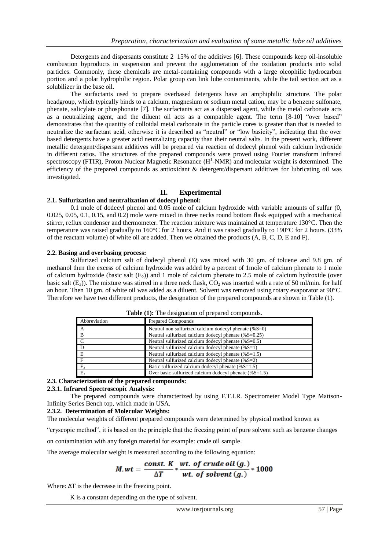Detergents and dispersants constitute 2–15% of the additives [6]. These compounds keep oil-insoluble combustion byproducts in suspension and prevent the agglomeration of the oxidation products into solid particles. Commonly, these chemicals are metal-containing compounds with a large oleophilic hydrocarbon portion and a polar hydrophilic region. Polar group can link lube contaminants, while the tail section act as a solubilizer in the base oil.

The surfactants used to prepare overbased detergents have an amphiphilic structure. The polar headgroup, which typically binds to a calcium, magnesium or sodium metal cation, may be a benzene sulfonate, phenate, salicylate or phosphonate [7]. The surfactants act as a dispersed agent, while the metal carbonate acts as a neutralizing agent, and the diluent oil acts as a compatible agent. The term [8-10] "over based" demonstrates that the quantity of colloidal metal carbonate in the particle cores is greater than that is needed to neutralize the surfactant acid, otherwise it is described as "neutral" or "low basicity", indicating that the over based detergents have a greater acid neutralizing capacity than their neutral salts. In the present work, different metallic detergent/dispersant additives will be prepared via reaction of dodecyl phenol with calcium hydroxide in different ratios. The structures of the prepared compounds were proved using Fourier transform infrared spectroscopy (FTIR), Proton Nuclear Magnetic Resonance  $(H^{-1}NMR)$  and molecular weight is determined. The efficiency of the prepared compounds as antioxidant & detergent/dispersant additives for lubricating oil was investigated.

# **II. Experimental**

## **2.1. Sulfurization and neutralization of dodecyl phenol:**

0.1 mole of dodecyl phenol and 0.05 mole of calcium hydroxide with variable amounts of sulfur (0, 0.025, 0.05, 0.1, 0.15, and 0.2) mole were mixed in three necks round bottom flask equipped with a mechanical stirrer, reflux condenser and thermometer. The reaction mixture was maintained at temperature 130°C. Then the temperature was raised gradually to 160°C for 2 hours. And it was raised gradually to 190°C for 2 hours. (33% of the reactant volume) of white oil are added. Then we obtained the products (A, B, C, D, E and F).

#### **2.2. Basing and overbasing process:**

Sulfurized calcium salt of dodecyl phenol (E) was mixed with 30 gm. of toluene and 9.8 gm. of methanol then the excess of calcium hydroxide was added by a percent of 1mole of calcium phenate to 1 mole of calcium hydroxide (basic salt  $(E_2)$ ) and 1 mole of calcium phenate to 2.5 mole of calcium hydroxide (over basic salt (E<sub>3</sub>)). The mixture was stirred in a three neck flask, CO<sub>2</sub> was inserted with a rate of 50 ml/min. for half an hour. Then 10 gm. of white oil was added as a diluent. Solvent was removed using rotary evaporator at 90°C. Therefore we have two different products, the designation of the prepared compounds are shown in Table (1).

| Abbreviation   | <b>Prepared Compounds</b>                                 |  |
|----------------|-----------------------------------------------------------|--|
| A              | Neutral non sulfurized calcium dodecyl phenate $(\%S=0)$  |  |
| $\overline{B}$ | Neutral sulfurized calcium dodecyl phenate (%S=0.25)      |  |
| $\overline{c}$ | Neutral sulfurized calcium dodecyl phenate $(\%S=0.5)$    |  |
| $\overline{a}$ | Neutral sulfurized calcium dodecyl phenate $(\%S=1)$      |  |
| E              | Neutral sulfurized calcium dodecyl phenate $(\% S=1.5)$   |  |
| $\mathbf{F}$   | Neutral sulfurized calcium dodecyl phenate (%S=2)         |  |
| $E_2$          | Basic sulfurized calcium dodecyl phenate $(\%S=1.5)$      |  |
| $E_3$          | Over basic sulfurized calcium dodecyl phenate $(\%S=1.5)$ |  |

Table (1): The designation of prepared compounds.

# **2.3. Characterization of the prepared compounds:**

#### **2.3.1. Infrared Spectroscopic Analysis:**

The prepared compounds were characterized by using F.T.I.R. Spectrometer Model Type Mattson-Infinity Series Bench top, which made in USA.

# **2.3.2. Determination of Molecular Weights:**

The molecular weights of different prepared compounds were determined by physical method known as

"cryscopic method", it is based on the principle that the freezing point of pure solvent such as benzene changes

on contamination with any foreign material for example: crude oil sample.

The average molecular weight is measured according to the following equation:

$$
M.wt = \frac{const. K}{\Delta T} * \frac{wt. \ of \ crude \ oil \ (g.)}{wt. \ of \ solvent \ (g.)} * 1000
$$

Where:  $\Delta T$  is the decrease in the freezing point.

K is a constant depending on the type of solvent.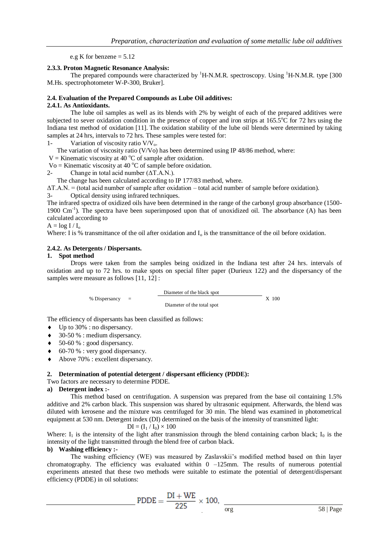e.g K for benzene  $= 5.12$ 

#### **2.3.3. Proton Magnetic Resonance Analysis:**

The prepared compounds were characterized by  ${}^{1}$ H-N.M.R. spectroscopy. Using  ${}^{1}$ H-N.M.R. type [300] M.Hs. spectrophotometer W-P-300, Bruker].

#### **2.4. Evaluation of the Prepared Compounds as Lube Oil additives:**

#### **2.4.1. As Antioxidants.**

The lube oil samples as well as its blends with 2% by weight of each of the prepared additives were subjected to sever oxidation condition in the presence of copper and iron strips at  $165.5^{\circ}$ C for 72 hrs using the Indiana test method of oxidation [11]. The oxidation stability of the lube oil blends were determined by taking samples at 24 hrs, intervals to 72 hrs. These samples were tested for:

1- Variation of viscosity ratio  $V/V<sub>o</sub>$ .

The variation of viscosity ratio (V/Vo) has been determined using IP 48/86 method, where:

V = Kinematic viscosity at 40  $^{\circ}$ C of sample after oxidation.

Vo = Kinematic viscosity at 40  $^{\circ}$ C of sample before oxidation.

2- Change in total acid number  $(ΔT.A.N.)$ .

The change has been calculated according to IP 177/83 method, where.

 $\Delta$ T.A.N. = (total acid number of sample after oxidation – total acid number of sample before oxidation).

3- Optical density using infrared techniques.

The infrared spectra of oxidized oils have been determined in the range of the carbonyl group absorbance (1500- 1900 Cm<sup>-1</sup>). The spectra have been superimposed upon that of unoxidized oil. The absorbance (A) has been calculated according to

 $A = log I / I_0$ 

Where: I is % transmittance of the oil after oxidation and  $I_0$  is the transmittance of the oil before oxidation.

#### **2.4.2. As Detergents / Dispersants.**

#### **1. Spot method**

Drops were taken from the samples being oxidized in the Indiana test after 24 hrs. intervals of oxidation and up to 72 hrs. to make spots on special filter paper (Durieux 122) and the dispersancy of the samples were measure as follows [11, 12] :

 Diameter of the black spot X 100 Diameter of the total spot

The efficiency of dispersants has been classified as follows:

- $\bullet$  Up to 30% : no dispersancy.
- $\triangleleft$  30-50 % : medium dispersancy.
- $\bullet$  50-60 % : good dispersancy.
- $\bullet$  60-70 % : very good dispersancy.
- Above 70% : excellent dispersancy.

#### **2. Determination of potential detergent / dispersant efficiency (PDDE):**

Two factors are necessary to determine PDDE.

 $%$  Dispersancy  $=$ 

## **a) Detergent index :-**

This method based on centrifugation. A suspension was prepared from the base oil containing 1.5% additive and 2% carbon black. This suspension was shared by ultrasonic equipment. Afterwards, the blend was diluted with kerosene and the mixture was centrifuged for 30 min. The blend was examined in photometrical equipment at 530 nm. Detergent index (DI) determined on the basis of the intensity of transmitted light:

$$
DI = (I_1 / I_0) \times 100
$$

Where: I<sub>1</sub> is the intensity of the light after transmission through the blend containing carbon black; I<sub>0</sub> is the intensity of the light transmitted through the blend free of carbon black.

#### **b) Washing efficiency :-**

The washing efficiency (WE) was measured by Zaslavskii's modified method based on thin layer chromatography. The efficiency was evaluated within  $0 -125$  mm. The results of numerous potential experiments attested that these two methods were suitable to estimate the potential of detergent/dispersant efficiency (PDDE) in oil solutions:

$$
PDDE = \frac{DI + WE}{225} \times 100, \frac{1}{\text{erg}}
$$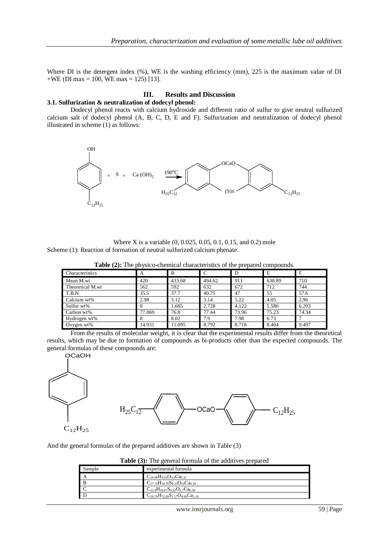Where DI is the detergent index (%), WE is the washing efficiency (mm), 225 is the maximum value of DI  $+WE$  (DI max = 100, WE max = 125) [13].

# **III. Results and Discussion**

#### **3.1. Sulfurization & neutralization of dodecyl phenol:**

Dodecyl phenol reacts with calcium hydroxide and different ratio of sulfur to give neutral sulfurized calcium salt of dodecyl phenol (A, B, C, D, E and F). Sulfurization and neutralization of dodecyl phenol illustrated in scheme (1) as follows:



Where X is a variable (0, 0.025, 0.05, 0.1, 0.15, and 0.2) mole Scheme (1): Reaction of formation of neutral sulfurized calcium phenate.

**Table (2):** The physico-chemical characteristics of the prepared compounds.

| Characteristics  | A      | B      | C      | D     | E      |       |
|------------------|--------|--------|--------|-------|--------|-------|
| Mean M.wt        | 420    | 433.68 | 494.62 | 911   | 638.89 | 710   |
| Theoretical M.wt | 562    | 592    | 632    | 672   | 712    | 744   |
| T.B.N            | 35.5   | 37.7   | 40.75  | 47    | 55     | 57.6  |
| Calcium wt%      | 2.98   | 3.12   | 3.14   | 5.22  | 4.05   | 2.96  |
| Sulfur wt%       |        | 1.685  | 2.728  | 4.122 | 5.586  | 6.203 |
| Carbon wt%       | 77.069 | 76.8   | 77.44  | 73.96 | 75.23  | 74.34 |
| Hydrogen wt%     | x      | 8.02   | 7.9    | 7.98  | 6.73   |       |
| Oxygen $wt\%$    | 14.931 | 11.095 | 8.792  | 8.718 | 8.404  | 9.497 |

From the results of molecular weight, it is clear that the experimental results differ from the theoretical results, which may be due to formation of compounds as bi-products other than the expected compounds. The general formulas of these compounds are:





And the general formulas of the prepared additives are shown in Table (3)

| <b>Table (3):</b> The general formula of the additives prepared |
|-----------------------------------------------------------------|
|-----------------------------------------------------------------|

| Sample           | experimental formula                          |
|------------------|-----------------------------------------------|
|                  | $C_{26.96}H_{33.6}O_{3.9}Ca_{0.31}$           |
| $\mathbf{B}$     | $C_{27.76}H_{34.78}S_{0.23}O_{10}Ca_{0.34}$   |
| $\blacksquare$ C | $C_{31.9}H_{39.07}S_{0.42}O_{2.7}Ca_{0.39}$   |
| l D              | $C_{58,79}H_{72,69}S_{1,17}O_{4,96}Ca_{1,19}$ |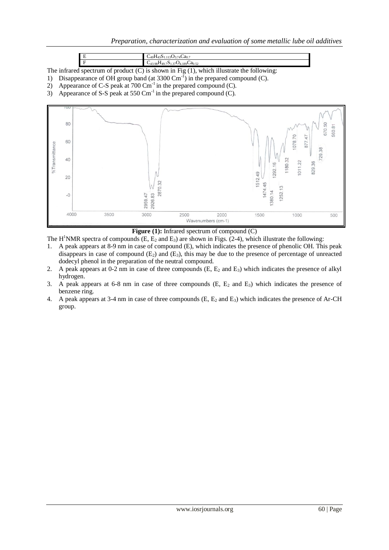|        | $\sim$<br>$\sim$<br>$73.74$ $\omega$ d <sub>0.7</sub>                   |  |  |
|--------|-------------------------------------------------------------------------|--|--|
|        | 7 <b>0</b> 4.189 <b>C</b> a <sub>0.52</sub><br>43.98 F<br>$-149.721.37$ |  |  |
| $\sim$ | $^{\bullet}$ 11<br>$\sqrt{4}$<br>0.11                                   |  |  |

The infrared spectrum of product (C) is shown in Fig (1), which illustrate the following:

- 1) Disappearance of OH group band (at  $3300 \text{ cm}^{-1}$ ) in the prepared compound (C).
- 2) Appearance of C-S peak at  $700 \text{ cm}^{-1}$  in the prepared compound (C).
- 3) Appearance of S-S peak at 550 Cm<sup>-1</sup> in the prepared compound (C).



Figure (1): Infrared spectrum of compound (C)

The H<sup>1</sup>NMR spectra of compounds (E,  $E_2$  and  $E_3$ ) are shown in Figs. (2-4), which illustrate the following:

- 1. A peak appears at 8-9 nm in case of compound (E), which indicates the presence of phenolic OH. This peak disappears in case of compound  $(E_2)$  and  $(E_3)$ , this may be due to the presence of percentage of unreacted dodecyl phenol in the preparation of the neutral compound.
- 2. A peak appears at 0-2 nm in case of three compounds  $(E, E_2 \text{ and } E_3)$  which indicates the presence of alkyl hydrogen.
- 3. A peak appears at 6-8 nm in case of three compounds  $(E, E_2 \text{ and } E_3)$  which indicates the presence of benzene ring.
- 4. A peak appears at 3-4 nm in case of three compounds  $(E, E_2 \text{ and } E_3)$  which indicates the presence of Ar-CH group.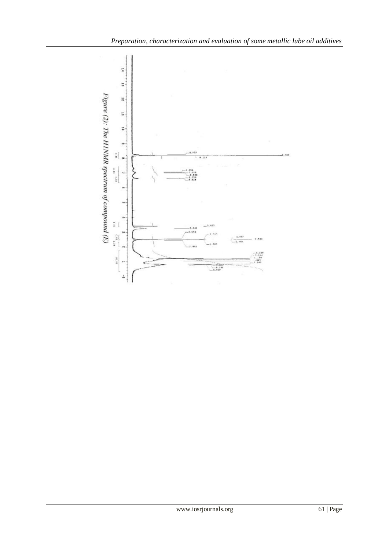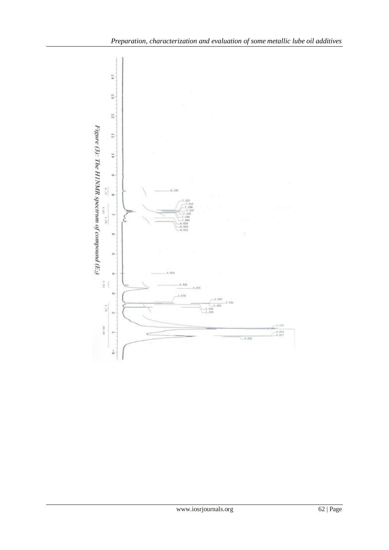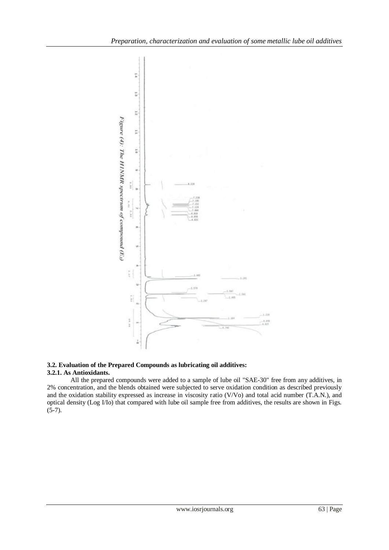

#### **3.2. Evaluation of the Prepared Compounds as lubricating oil additives: 3.2.1. As Antioxidants.**

All the prepared compounds were added to a sample of lube oil "SAE-30" free from any additives, in 2% concentration, and the blends obtained were subjected to serve oxidation condition as described previously and the oxidation stability expressed as increase in viscosity ratio (V/Vo) and total acid number (T.A.N.), and optical density (Log I/Io) that compared with lube oil sample free from additives, the results are shown in Figs.  $(5-7)$ .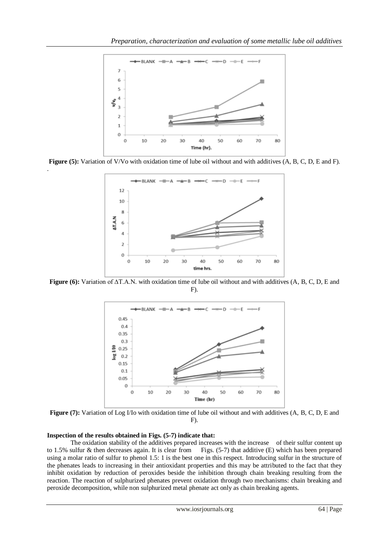

**Figure (5):** Variation of V/Vo with oxidation time of lube oil without and with additives (A, B, C, D, E and F).



**Figure (6):** Variation of ∆T.A.N. with oxidation time of lube oil without and with additives (A, B, C, D, E and F).



**Figure (7):** Variation of Log I/Io with oxidation time of lube oil without and with additives (A, B, C, D, E and F).

#### **Inspection of the results obtained in Figs. (5-7) indicate that:**

.

The oxidation stability of the additives prepared increases with the increase of their sulfur content up to 1.5% sulfur & then decreases again. It is clear from Figs. (5-7) that additive (E) which has been prepared using a molar ratio of sulfur to phenol 1.5: 1 is the best one in this respect. Introducing sulfur in the structure of the phenates leads to increasing in their antioxidant properties and this may be attributed to the fact that they inhibit oxidation by reduction of peroxides beside the inhibition through chain breaking resulting from the reaction. The reaction of sulphurized phenates prevent oxidation through two mechanisms: chain breaking and peroxide decomposition, while non sulphurized metal phenate act only as chain breaking agents.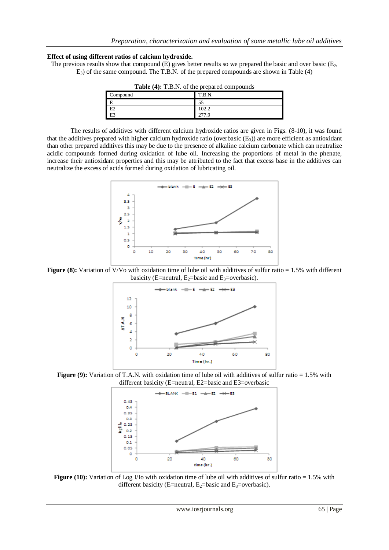# **Effect of using different ratios of calcium hydroxide.**

The previous results show that compound  $(E)$  gives better results so we prepared the basic and over basic  $(E_2)$ , E3) of the same compound. The T.B.N. of the prepared compounds are shown in Table (4)

| $-$ where $\sqrt{2}$ , $\sqrt{2}$ , $\sqrt{2}$ , $\sqrt{2}$ , $\sqrt{2}$ , $\sqrt{2}$ , $\sqrt{2}$ , $\sqrt{2}$ , $\sqrt{2}$ , $\sqrt{2}$ , $\sqrt{2}$ , $\sqrt{2}$ , $\sqrt{2}$ , $\sqrt{2}$ , $\sqrt{2}$ , $\sqrt{2}$ , $\sqrt{2}$ , $\sqrt{2}$ , $\sqrt{2}$ , $\sqrt{2}$ , $\sqrt{2}$ , |        |
|--------------------------------------------------------------------------------------------------------------------------------------------------------------------------------------------------------------------------------------------------------------------------------------------|--------|
| Compound                                                                                                                                                                                                                                                                                   | T.B.N. |
| E                                                                                                                                                                                                                                                                                          | 55     |
| E2                                                                                                                                                                                                                                                                                         | 102.2  |
| E <sub>3</sub>                                                                                                                                                                                                                                                                             | 277.9  |
|                                                                                                                                                                                                                                                                                            |        |

**Table (4):** T.B.N. of the prepared compounds

The results of additives with different calcium hydroxide ratios are given in Figs. (8-10), it was found that the additives prepared with higher calcium hydroxide ratio (overbasic  $(E_3)$ ) are more efficient as antioxidant than other prepared additives this may be due to the presence of alkaline calcium carbonate which can neutralize acidic compounds formed during oxidation of lube oil. Increasing the proportions of metal in the phenate, increase their antioxidant properties and this may be attributed to the fact that excess base in the additives can neutralize the excess of acids formed during oxidation of lubricating oil.



**Figure (8):** Variation of V/Vo with oxidation time of lube oil with additives of sulfur ratio = 1.5% with different basicity (E=neutral, E<sub>2</sub>=basic and E<sub>3</sub>=overbasic).



**Figure (9):** Variation of T.A.N. with oxidation time of lube oil with additives of sulfur ratio = 1.5% with different basicity (E=neutral, E2=basic and E3=overbasic



**Figure (10):** Variation of Log I/Io with oxidation time of lube oil with additives of sulfur ratio = 1.5% with different basicity (E=neutral,  $E_2$ =basic and  $E_3$ =overbasic).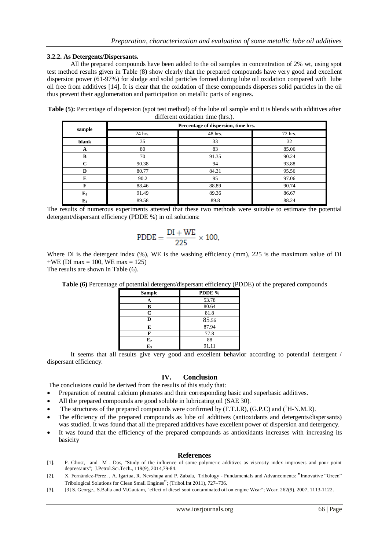## **3.2.2. As Detergents/Dispersants.**

All the prepared compounds have been added to the oil samples in concentration of 2% wt, using spot test method results given in Table (8) show clearly that the prepared compounds have very good and excellent dispersion power (61-97%) for sludge and solid particles formed during lube oil oxidation compared with lube oil free from additives [14]. It is clear that the oxidation of these compounds disperses solid particles in the oil thus prevent their agglomeration and participation on metallic parts of engines.

**Table (5):** Percentage of dispersion (spot test method) of the lube oil sample and it is blends with additives after different oxidation time (hrs.).

| sample         | Percentage of dispersion, time hrs. |         |         |  |
|----------------|-------------------------------------|---------|---------|--|
|                | 24 hrs.                             | 48 hrs. | 72 hrs. |  |
| blank          | 35                                  | 33      | 32      |  |
| A              | 80                                  | 83      | 85.06   |  |
| B              | 70                                  | 91.35   | 90.24   |  |
| $\sim$         | 90.38                               | 94      | 93.88   |  |
| D              | 80.77                               | 84.31   | 95.56   |  |
| E              | 90.2                                | 95      | 97.06   |  |
| F              | 88.46                               | 88.89   | 90.74   |  |
| E <sub>2</sub> | 91.49                               | 89.36   | 86.67   |  |
| $E_3$          | 89.58                               | 89.8    | 88.24   |  |

The results of numerous experiments attested that these two methods were suitable to estimate the potential detergent/dispersant efficiency (PDDE %) in oil solutions:

$$
PDDE = \frac{DI + WE}{225} \times 100,
$$

Where DI is the detergent index (%), WE is the washing efficiency (mm), 225 is the maximum value of DI  $+WE$  (DI max = 100, WE max = 125)

The results are shown in Table (6).

**Table (6)** Percentage of potential detergent/dispersant efficiency (PDDE) of the prepared compounds

| <b>Sample</b> | PDDE % |
|---------------|--------|
|               | 53.78  |
| В             | 80.64  |
| C             | 81.8   |
| D             | 85.56  |
| E             | 87.94  |
| F             | 77.8   |
| ${\bf E_2}$   | 88     |
| $E_3$         | 91.11  |

It seems that all results give very good and excellent behavior according to potential detergent / dispersant efficiency.

# **IV. Conclusion**

The conclusions could be derived from the results of this study that:

- Preparation of neutral calcium phenates and their corresponding basic and superbasic additives.
- All the prepared compounds are good soluble in lubricating oil (SAE 30).
- The structures of the prepared compounds were confirmed by  $(F.T.I.R)$ ,  $(G.P.C)$  and  $(^1H-N.M.R)$ .
- The efficiency of the prepared compounds as lube oil additives (antioxidants and detergents/dispersants) was studied. It was found that all the prepared additives have excellent power of dispersion and detergency.
- It was found that the efficiency of the prepared compounds as antioxidants increases with increasing its basicity

#### **References**

- [1]. P. Ghost, and M . Das, "Study of the influence of some polymeric additives as viscosity index improvers and pour point depressants"; J.Petrol.Sci.Tech**.**, 119(9), 2014,79-84.
- [2]. X. Fernández-Pérez. , A. Igartua, R. Nevshupa and P. Zabala, Tribology Fundamentals and Advancements: "Innovative "Green" Tribological Solutions for Clean Small Engines"; (Tribol.Int 2011), 727–736.
- [3]. [3] S. George., S.Balla and M.Gautam, "effect of diesel soot contaminated oil on engine Wear"; Wear, 262(9), 2007, 1113-1122.